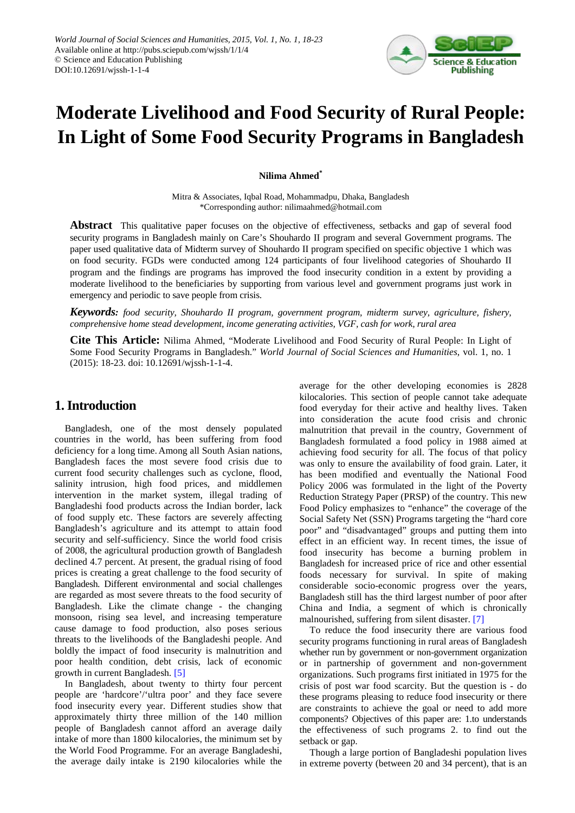

# **Moderate Livelihood and Food Security of Rural People: In Light of Some Food Security Programs in Bangladesh**

**Nilima Ahmed\***

Mitra & Associates, Iqbal Road, Mohammadpu, Dhaka, Bangladesh \*Corresponding author: nilimaahmed@hotmail.com

**Abstract** This qualitative paper focuses on the objective of effectiveness, setbacks and gap of several food security programs in Bangladesh mainly on Care's Shouhardo II program and several Government programs. The paper used qualitative data of Midterm survey of Shouhardo II program specified on specific objective 1 which was on food security. FGDs were conducted among 124 participants of four livelihood categories of Shouhardo II program and the findings are programs has improved the food insecurity condition in a extent by providing a moderate livelihood to the beneficiaries by supporting from various level and government programs just work in emergency and periodic to save people from crisis.

*Keywords: food security, Shouhardo II program, government program, midterm survey, agriculture, fishery, comprehensive home stead development, income generating activities, VGF, cash for work, rural area*

**Cite This Article:** Nilima Ahmed, "Moderate Livelihood and Food Security of Rural People: In Light of Some Food Security Programs in Bangladesh." *World Journal of Social Sciences and Humanities*, vol. 1, no. 1 (2015): 18-23. doi: 10.12691/wjssh-1-1-4.

# **1. Introduction**

Bangladesh, one of the most densely populated countries in the world, has been suffering from food deficiency for a long time. Among all South Asian nations, Bangladesh faces the most severe food crisis due to current food security challenges such as cyclone, flood, salinity intrusion, high food prices, and middlemen intervention in the market system, illegal trading of Bangladeshi food products across the Indian border, lack of food supply etc. These factors are severely affecting Bangladesh's agriculture and its attempt to attain food security and self-sufficiency. Since the world food crisis of 2008, the agricultural production growth of Bangladesh declined 4.7 percent. At present, the gradual rising of food prices is creating a great challenge to the food security of Bangladesh. Different environmental and social challenges are regarded as most severe threats to the food security of Bangladesh. Like the climate change - the changing monsoon, rising sea level, and increasing temperature cause damage to food production, also poses serious threats to the livelihoods of the Bangladeshi people. And boldly the impact of food insecurity is malnutrition and poor health condition, debt crisis, lack of economic growth in current Bangladesh. [\[5\]](#page-5-0)

In Bangladesh, about twenty to thirty four percent people are 'hardcore'/'ultra poor' and they face severe food insecurity every year. Different studies show that approximately thirty three million of the 140 million people of Bangladesh cannot afford an average daily intake of more than 1800 kilocalories, the minimum set by the World Food Programme. For an average Bangladeshi, the average daily intake is 2190 kilocalories while the

average for the other developing economies is 2828 kilocalories. This section of people cannot take adequate food everyday for their active and healthy lives. Taken into consideration the acute food crisis and chronic malnutrition that prevail in the country, Government of Bangladesh formulated a food policy in 1988 aimed at achieving food security for all. The focus of that policy was only to ensure the availability of food grain. Later, it has been modified and eventually the National Food Policy 2006 was formulated in the light of the Poverty Reduction Strategy Paper (PRSP) of the country. This new Food Policy emphasizes to "enhance" the coverage of the Social Safety Net (SSN) Programs targeting the "hard core poor" and "disadvantaged" groups and putting them into effect in an efficient way. In recent times, the issue of food insecurity has become a burning problem in Bangladesh for increased price of rice and other essential foods necessary for survival. In spite of making considerable socio-economic progress over the years, Bangladesh still has the third largest number of poor after China and India, a segment of which is chronically malnourished, suffering from silent disaster. [\[7\]](#page-5-1)

To reduce the food insecurity there are various food security programs functioning in rural areas of Bangladesh whether run by government or non-government organization or in partnership of government and non-government organizations. Such programs first initiated in 1975 for the crisis of post war food scarcity. But the question is - do these programs pleasing to reduce food insecurity or there are constraints to achieve the goal or need to add more components? Objectives of this paper are: 1.to understands the effectiveness of such programs 2. to find out the setback or gap.

Though a large portion of Bangladeshi population lives in extreme poverty (between 20 and 34 percent), that is an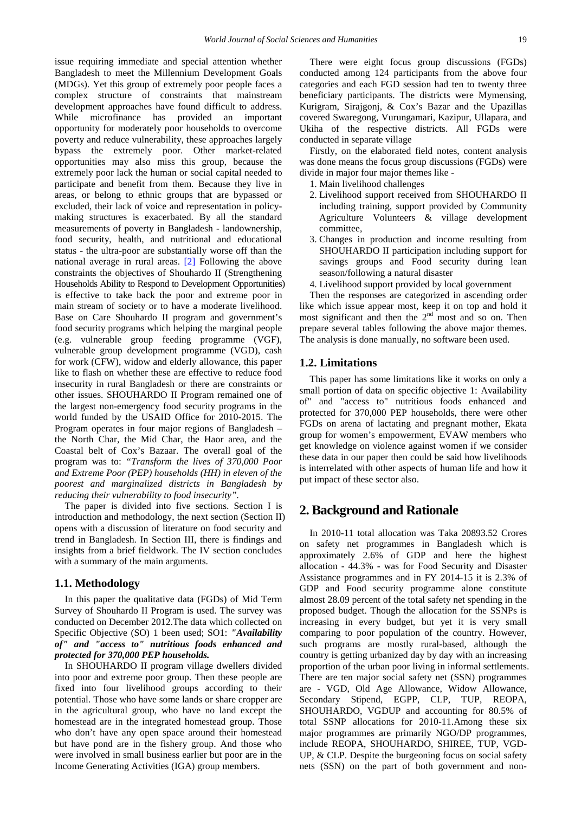issue requiring immediate and special attention whether Bangladesh to meet the Millennium Development Goals (MDGs). Yet this group of extremely poor people faces a complex structure of constraints that mainstream development approaches have found difficult to address. While microfinance has provided an important opportunity for moderately poor households to overcome poverty and reduce vulnerability, these approaches largely bypass the extremely poor. Other market-related opportunities may also miss this group, because the extremely poor lack the human or social capital needed to participate and benefit from them. Because they live in areas, or belong to ethnic groups that are bypassed or excluded, their lack of voice and representation in policymaking structures is exacerbated. By all the standard measurements of poverty in Bangladesh - landownership, food security, health, and nutritional and educational status - the ultra-poor are substantially worse off than the national average in rural areas. [\[2\]](#page-5-2) Following the above constraints the objectives of Shouhardo II (Strengthening Households Ability to Respond to Development Opportunities) is effective to take back the poor and extreme poor in main stream of society or to have a moderate livelihood. Base on Care Shouhardo II program and government's food security programs which helping the marginal people (e.g. vulnerable group feeding programme (VGF), vulnerable group development programme (VGD), cash for work (CFW), widow and elderly allowance, this paper like to flash on whether these are effective to reduce food insecurity in rural Bangladesh or there are constraints or other issues. SHOUHARDO II Program remained one of the largest non-emergency food security programs in the world funded by the USAID Office for 2010-2015. The Program operates in four major regions of Bangladesh – the North Char, the Mid Char, the Haor area, and the Coastal belt of Cox's Bazaar. The overall goal of the program was to: *"Transform the lives of 370,000 Poor and Extreme Poor (PEP) households (HH) in eleven of the poorest and marginalized districts in Bangladesh by reducing their vulnerability to food insecurity".*

The paper is divided into five sections. Section I is introduction and methodology, the next section (Section II) opens with a discussion of literature on food security and trend in Bangladesh. In Section III, there is findings and insights from a brief fieldwork. The IV section concludes with a summary of the main arguments.

#### **1.1. Methodology**

In this paper the qualitative data (FGDs) of Mid Term Survey of Shouhardo II Program is used. The survey was conducted on December 2012.The data which collected on Specific Objective (SO) 1 been used; SO1: *"Availability of" and "access to" nutritious foods enhanced and protected for 370,000 PEP households.*

In SHOUHARDO II program village dwellers divided into poor and extreme poor group. Then these people are fixed into four livelihood groups according to their potential. Those who have some lands or share cropper are in the agricultural group, who have no land except the homestead are in the integrated homestead group. Those who don't have any open space around their homestead but have pond are in the fishery group. And those who were involved in small business earlier but poor are in the Income Generating Activities (IGA) group members.

There were eight focus group discussions (FGDs) conducted among 124 participants from the above four categories and each FGD session had ten to twenty three beneficiary participants. The districts were Mymensing, Kurigram, Sirajgonj, & Cox's Bazar and the Upazillas covered Swaregong, Vurungamari, Kazipur, Ullapara, and Ukiha of the respective districts. All FGDs were conducted in separate village

Firstly, on the elaborated field notes, content analysis was done means the focus group discussions (FGDs) were divide in major four major themes like -

- 1. Main livelihood challenges
- 2. Livelihood support received from SHOUHARDO II including training, support provided by Community Agriculture Volunteers & village development committee,
- 3. Changes in production and income resulting from SHOUHARDO II participation including support for savings groups and Food security during lean season/following a natural disaster
- 4. Livelihood support provided by local government

Then the responses are categorized in ascending order like which issue appear most, keep it on top and hold it most significant and then the  $2<sup>nd</sup>$  most and so on. Then prepare several tables following the above major themes. The analysis is done manually, no software been used.

#### **1.2. Limitations**

This paper has some limitations like it works on only a small portion of data on specific objective 1: Availability of" and "access to" nutritious foods enhanced and protected for 370,000 PEP households, there were other FGDs on arena of lactating and pregnant mother, Ekata group for women's empowerment, EVAW members who get knowledge on violence against women if we consider these data in our paper then could be said how livelihoods is interrelated with other aspects of human life and how it put impact of these sector also.

## **2. Background and Rationale**

In 2010-11 total allocation was Taka 20893.52 Crores on safety net programmes in Bangladesh which is approximately 2.6% of GDP and here the highest allocation - 44.3% - was for Food Security and Disaster Assistance programmes and in FY 2014-15 it is 2.3% of GDP and Food security programme alone constitute almost 28.09 percent of the total safety net spending in the proposed budget. Though the allocation for the SSNPs is increasing in every budget, but yet it is very small comparing to poor population of the country. However, such programs are mostly rural-based, although the country is getting urbanized day by day with an increasing proportion of the urban poor living in informal settlements. There are ten major social safety net (SSN) programmes are - VGD, Old Age Allowance, Widow Allowance, Secondary Stipend, EGPP, CLP, TUP, REOPA, SHOUHARDO, VGDUP and accounting for 80.5% of total SSNP allocations for 2010-11.Among these six major programmes are primarily NGO/DP programmes, include REOPA, SHOUHARDO, SHIREE, TUP, VGD-UP, & CLP. Despite the burgeoning focus on social safety nets (SSN) on the part of both government and non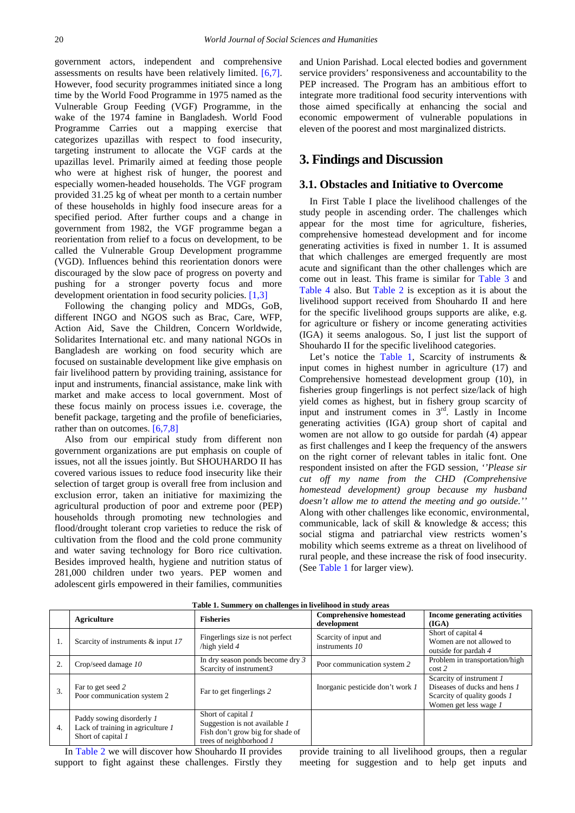government actors, independent and comprehensive assessments on results have been relatively limited. [\[6,7\].](#page-5-3) However, food security programmes initiated since a long time by the World Food Programme in 1975 named as the Vulnerable Group Feeding (VGF) Programme, in the wake of the 1974 famine in Bangladesh. World Food Programme Carries out a mapping exercise that categorizes upazillas with respect to food insecurity, targeting instrument to allocate the VGF cards at the upazillas level. Primarily aimed at feeding those people who were at highest risk of hunger, the poorest and especially women-headed households. The VGF program provided 31.25 kg of wheat per month to a certain number of these households in highly food insecure areas for a specified period. After further coups and a change in government from 1982, the VGF programme began a reorientation from relief to a focus on development, to be called the Vulnerable Group Development programme (VGD). Influences behind this reorientation donors were discouraged by the slow pace of progress on poverty and pushing for a stronger poverty focus and more development orientation in food security policies. [\[1,3\]](#page-5-4)

Following the changing policy and MDGs, GoB, different INGO and NGOS such as Brac, Care, WFP, Action Aid, Save the Children, Concern Worldwide, Solidarites International etc. and many national NGOs in Bangladesh are working on food security which are focused on sustainable development like give emphasis on fair livelihood pattern by providing training, assistance for input and instruments, financial assistance, make link with market and make access to local government. Most of these focus mainly on process issues i.e. coverage, the benefit package, targeting and the profile of beneficiaries, rather than on outcomes. [\[6,7,8\]](#page-5-3)

Also from our empirical study from different non government organizations are put emphasis on couple of issues, not all the issues jointly. But SHOUHARDO II has covered various issues to reduce food insecurity like their selection of target group is overall free from inclusion and exclusion error, taken an initiative for maximizing the agricultural production of poor and extreme poor (PEP) households through promoting new technologies and flood/drought tolerant crop varieties to reduce the risk of cultivation from the flood and the cold prone community and water saving technology for Boro rice cultivation. Besides improved health, hygiene and nutrition status of 281,000 children under two years. PEP women and adolescent girls empowered in their families, communities and Union Parishad. Local elected bodies and government service providers' responsiveness and accountability to the PEP increased. The Program has an ambitious effort to integrate more traditional food security interventions with those aimed specifically at enhancing the social and economic empowerment of vulnerable populations in eleven of the poorest and most marginalized districts.

## **3. Findings and Discussion**

#### **3.1. Obstacles and Initiative to Overcome**

In First Table I place the livelihood challenges of the study people in ascending order. The challenges which appear for the most time for agriculture, fisheries, comprehensive homestead development and for income generating activities is fixed in number 1. It is assumed that which challenges are emerged frequently are most acute and significant than the other challenges which are come out in least. This frame is similar for [Table 3](#page-4-0) and [Table 4](#page-4-1) also. But [Table 2](#page-3-0) is exception as it is about the livelihood support received from Shouhardo II and here for the specific livelihood groups supports are alike, e.g. for agriculture or fishery or income generating activities (IGA) it seems analogous. So, I just list the support of Shouhardo II for the specific livelihood categories.

Let's notice the [Table 1,](#page-2-0) Scarcity of instruments  $\&$ input comes in highest number in agriculture (17) and Comprehensive homestead development group (10), in fisheries group fingerlings is not perfect size/lack of high yield comes as highest, but in fishery group scarcity of input and instrument comes in  $3<sup>rd</sup>$ . Lastly in Income generating activities (IGA) group short of capital and women are not allow to go outside for pardah (4) appear as first challenges and I keep the frequency of the answers on the right corner of relevant tables in italic font. One respondent insisted on after the FGD session, *''Please sir cut off my name from the CHD (Comprehensive homestead development) group because my husband doesn't allow me to attend the meeting and go outside.''* Along with other challenges like economic, environmental, communicable, lack of skill  $&$  knowledge  $&$  access; this social stigma and patriarchal view restricts women's mobility which seems extreme as a threat on livelihood of rural people, and these increase the risk of food insecurity. (See [Table 1](#page-2-0) for larger view).

<span id="page-2-0"></span>

|    | Table 1. Summery on challenges in livelihood in study areas                          |                                                                                                                    |                                               |                                                                                                                  |
|----|--------------------------------------------------------------------------------------|--------------------------------------------------------------------------------------------------------------------|-----------------------------------------------|------------------------------------------------------------------------------------------------------------------|
|    | Agriculture                                                                          | <b>Fisheries</b>                                                                                                   | <b>Comprehensive homestead</b><br>development | Income generating activities<br>(IGA)                                                                            |
| 1. | Scarcity of instruments & input 17                                                   | Fingerlings size is not perfect<br>$\Delta$ high yield 4                                                           | Scarcity of input and<br>instruments 10       | Short of capital 4<br>Women are not allowed to<br>outside for pardah 4                                           |
| 2. | Crop/seed damage 10                                                                  | In dry season ponds become dry 3<br>Scarcity of instrument3                                                        | Poor communication system 2                   | Problem in transportation/high<br>$\cos z$                                                                       |
| 3. | Far to get seed 2<br>Poor communication system 2                                     | Far to get fingerlings 2                                                                                           | Inorganic pesticide don't work 1              | Scarcity of instrument 1<br>Diseases of ducks and hens 1<br>Scarcity of quality goods 1<br>Women get less wage 1 |
| 4. | Paddy sowing disorderly 1<br>Lack of training in agriculture 1<br>Short of capital 1 | Short of capital 1<br>Suggestion is not available 1<br>Fish don't grow big for shade of<br>trees of neighborhood 1 |                                               |                                                                                                                  |

**Table 1. Summery on challenges in livelihood in study areas**

In [Table 2](#page-3-0) we will discover how Shouhardo II provides support to fight against these challenges. Firstly they provide training to all livelihood groups, then a regular meeting for suggestion and to help get inputs and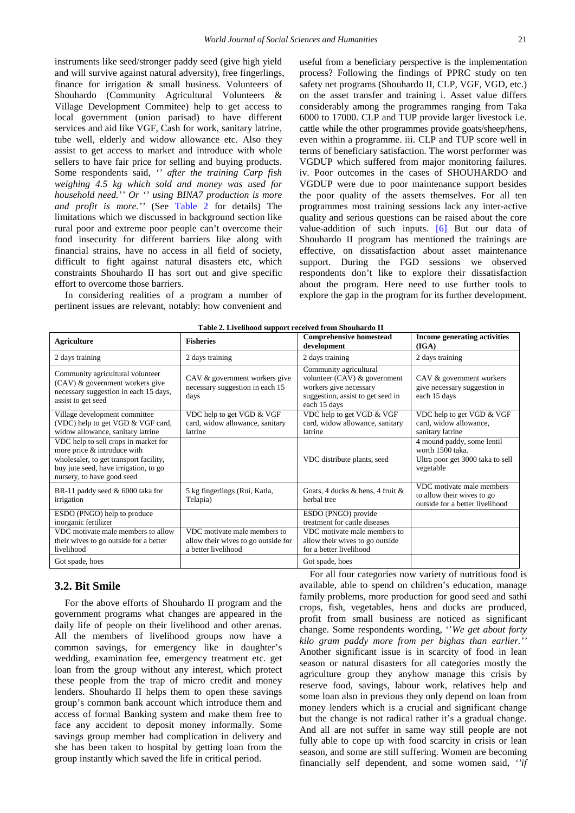instruments like seed/stronger paddy seed (give high yield and will survive against natural adversity), free fingerlings, finance for irrigation & small business. Volunteers of Shouhardo (Community Agricultural Volunteers & Village Development Commitee) help to get access to local government (union parisad) to have different services and aid like VGF, Cash for work, sanitary latrine, tube well, elderly and widow allowance etc. Also they assist to get access to market and introduce with whole sellers to have fair price for selling and buying products. Some respondents said, *'' after the training Carp fish weighing 4.5 kg which sold and money was used for household need.'' Or '' using BINA7 production is more and profit is more.''* (See [Table 2](#page-3-0) for details) The limitations which we discussed in background section like rural poor and extreme poor people can't overcome their food insecurity for different barriers like along with financial strains, have no access in all field of society, difficult to fight against natural disasters etc, which constraints Shouhardo II has sort out and give specific effort to overcome those barriers.

In considering realities of a program a number of pertinent issues are relevant, notably: how convenient and useful from a beneficiary perspective is the implementation process? Following the findings of PPRC study on ten safety net programs (Shouhardo II, CLP, VGF, VGD, etc.) on the asset transfer and training i. Asset value differs considerably among the programmes ranging from Taka 6000 to 17000. CLP and TUP provide larger livestock i.e. cattle while the other programmes provide goats/sheep/hens, even within a programme. iii. CLP and TUP score well in terms of beneficiary satisfaction. The worst performer was VGDUP which suffered from major monitoring failures. iv. Poor outcomes in the cases of SHOUHARDO and VGDUP were due to poor maintenance support besides the poor quality of the assets themselves. For all ten programmes most training sessions lack any inter-active quality and serious questions can be raised about the core value-addition of such inputs. [\[6\]](#page-5-3) But our data of Shouhardo II program has mentioned the trainings are effective, on dissatisfaction about asset maintenance support. During the FGD sessions we observed respondents don't like to explore their dissatisfaction about the program. Here need to use further tools to explore the gap in the program for its further development.

<span id="page-3-0"></span>

| <b>Agriculture</b>                                                                                                                                                                   | <b>Fisheries</b>                                                                           | <b>Comprehensive homestead</b><br>development                                                                                           | Income generating activities<br>(IGA)                                                          |
|--------------------------------------------------------------------------------------------------------------------------------------------------------------------------------------|--------------------------------------------------------------------------------------------|-----------------------------------------------------------------------------------------------------------------------------------------|------------------------------------------------------------------------------------------------|
| 2 days training                                                                                                                                                                      | 2 days training                                                                            | 2 days training                                                                                                                         | 2 days training                                                                                |
| Community agricultural volunteer<br>(CAV) & government workers give<br>necessary suggestion in each 15 days,<br>assist to get seed                                                   | CAV & government workers give<br>necessary suggestion in each 15<br>days                   | Community agricultural<br>volunteer $(CAV)$ & government<br>workers give necessary<br>suggestion, assist to get seed in<br>each 15 days | CAV & government workers<br>give necessary suggestion in<br>each 15 days                       |
| Village development committee<br>(VDC) help to get VGD & VGF card,<br>widow allowance, sanitary latrine                                                                              | VDC help to get VGD & VGF<br>card, widow allowance, sanitary<br>latrine                    | VDC help to get VGD & VGF<br>card, widow allowance, sanitary<br>latrine                                                                 | VDC help to get VGD & VGF<br>card, widow allowance,<br>sanitary latrine                        |
| VDC help to sell crops in market for<br>more price & introduce with<br>wholesaler, to get transport facility,<br>buy jute seed, have irrigation, to go<br>nursery, to have good seed |                                                                                            | VDC distribute plants, seed                                                                                                             | 4 mound paddy, some lentil<br>worth 1500 taka<br>Ultra poor get 3000 taka to sell<br>vegetable |
| BR-11 paddy seed & 6000 taka for<br>irrigation                                                                                                                                       | 5 kg fingerlings (Rui, Katla,<br>Telapia)                                                  | Goats, 4 ducks & hens, 4 fruit &<br>herbal tree                                                                                         | VDC motivate male members<br>to allow their wives to go<br>outside for a better livelihood     |
| ESDO (PNGO) help to produce<br>inorganic fertilizer                                                                                                                                  |                                                                                            | ESDO (PNGO) provide<br>treatment for cattle diseases                                                                                    |                                                                                                |
| VDC motivate male members to allow<br>their wives to go outside for a better<br>livelihood                                                                                           | VDC motivate male members to<br>allow their wives to go outside for<br>a better livelihood | VDC motivate male members to<br>allow their wives to go outside<br>for a better livelihood                                              |                                                                                                |
| Got spade, hoes                                                                                                                                                                      |                                                                                            | Got spade, hoes                                                                                                                         |                                                                                                |

| Table 2. Livelihood support received from Shouhardo II |  |
|--------------------------------------------------------|--|
|                                                        |  |

### **3.2. Bit Smile**

For the above efforts of Shouhardo II program and the government programs what changes are appeared in the daily life of people on their livelihood and other arenas. All the members of livelihood groups now have a common savings, for emergency like in daughter's wedding, examination fee, emergency treatment etc. get loan from the group without any interest, which protect these people from the trap of micro credit and money lenders. Shouhardo II helps them to open these savings group's common bank account which introduce them and access of formal Banking system and make them free to face any accident to deposit money informally. Some savings group member had complication in delivery and she has been taken to hospital by getting loan from the group instantly which saved the life in critical period.

For all four categories now variety of nutritious food is available, able to spend on children's education, manage family problems, more production for good seed and sathi crops, fish, vegetables, hens and ducks are produced, profit from small business are noticed as significant change. Some respondents wording, ''*We get about forty kilo gram paddy more from per bighas than earlier.''* Another significant issue is in scarcity of food in lean season or natural disasters for all categories mostly the agriculture group they anyhow manage this crisis by reserve food, savings, labour work, relatives help and some loan also in previous they only depend on loan from money lenders which is a crucial and significant change but the change is not radical rather it's a gradual change. And all are not suffer in same way still people are not fully able to cope up with food scarcity in crisis or lean season, and some are still suffering. Women are becoming financially self dependent, and some women said, *''if*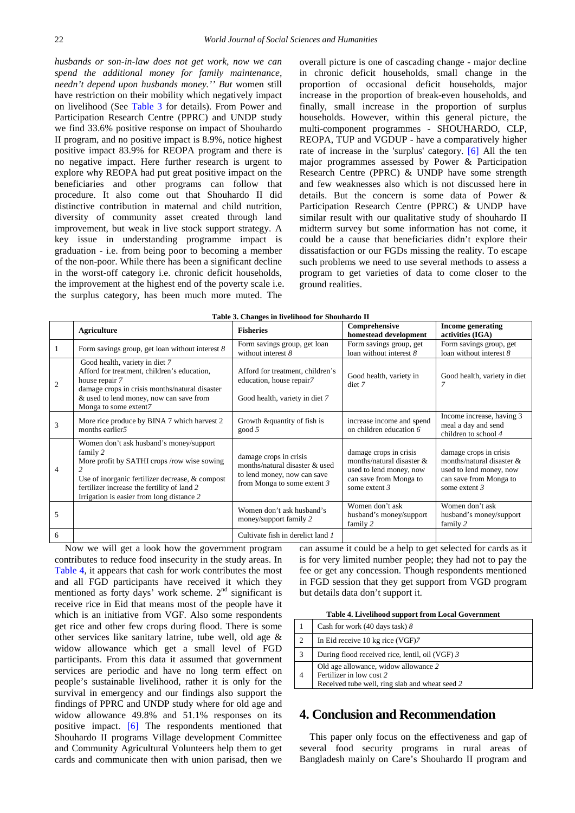*husbands or son-in-law does not get work, now we can spend the additional money for family maintenance, needn't depend upon husbands money.'' But* women still have restriction on their mobility which negatively impact on livelihood (See [Table 3](#page-4-0) for details). From Power and Participation Research Centre (PPRC) and UNDP study we find 33.6% positive response on impact of Shouhardo II program, and no positive impact is 8.9%, notice highest positive impact 83.9% for REOPA program and there is no negative impact. Here further research is urgent to explore why REOPA had put great positive impact on the beneficiaries and other programs can follow that procedure. It also come out that Shouhardo II did distinctive contribution in maternal and child nutrition, diversity of community asset created through land improvement, but weak in live stock support strategy. A key issue in understanding programme impact is graduation - i.e. from being poor to becoming a member of the non-poor. While there has been a significant decline in the worst-off category i.e. chronic deficit households, the improvement at the highest end of the poverty scale i.e. the surplus category, has been much more muted. The

overall picture is one of cascading change - major decline in chronic deficit households, small change in the proportion of occasional deficit households, major increase in the proportion of break-even households, and finally, small increase in the proportion of surplus households. However, within this general picture, the multi-component programmes - SHOUHARDO, CLP, REOPA, TUP and VGDUP - have a comparatively higher rate of increase in the 'surplus' category. [\[6\]](#page-5-3) All the ten major programmes assessed by Power & Participation Research Centre (PPRC) & UNDP have some strength and few weaknesses also which is not discussed here in details. But the concern is some data of Power & Participation Research Centre (PPRC) & UNDP have similar result with our qualitative study of shouhardo II midterm survey but some information has not come, it could be a cause that beneficiaries didn't explore their dissatisfaction or our FGDs missing the reality. To escape such problems we need to use several methods to assess a program to get varieties of data to come closer to the ground realities.

<span id="page-4-0"></span>

| Table 3. Changes in livelihood for Shouhardo II |                                                                                                                                                                                                                                                   |                                                                                                                        |                                                                                                                               |                                                                                                                             |
|-------------------------------------------------|---------------------------------------------------------------------------------------------------------------------------------------------------------------------------------------------------------------------------------------------------|------------------------------------------------------------------------------------------------------------------------|-------------------------------------------------------------------------------------------------------------------------------|-----------------------------------------------------------------------------------------------------------------------------|
|                                                 | Agriculture                                                                                                                                                                                                                                       | <b>Fisheries</b>                                                                                                       | Comprehensive<br>homestead development                                                                                        | <b>Income generating</b><br>activities (IGA)                                                                                |
| 1                                               | Form savings group, get loan without interest $8$                                                                                                                                                                                                 | Form savings group, get loan<br>without interest $8$                                                                   | Form savings group, get<br>loan without interest 8                                                                            | Form savings group, get<br>loan without interest 8                                                                          |
| 2                                               | Good health, variety in diet 7<br>Afford for treatment, children's education,<br>house repair 7<br>damage crops in crisis months/natural disaster<br>& used to lend money, now can save from<br>Monga to some extent7                             | Afford for treatment, children's<br>education, house repair7<br>Good health, variety in diet 7                         | Good health, variety in<br>diet 7                                                                                             | Good health, variety in diet                                                                                                |
| 3                                               | More rice produce by BINA 7 which harvest 2<br>months earlier5                                                                                                                                                                                    | Growth &quantity of fish is<br>good 5                                                                                  | increase income and spend<br>on children education 6                                                                          | Income increase, having 3<br>meal a day and send<br>children to school 4                                                    |
| $\overline{4}$                                  | Women don't ask husband's money/support<br>family 2<br>More profit by SATHI crops /row wise sowing<br>Use of inorganic fertilizer decrease, & compost<br>fertilizer increase the fertility of land 2<br>Irrigation is easier from long distance 2 | damage crops in crisis<br>months/natural disaster & used<br>to lend money, now can save<br>from Monga to some extent 3 | damage crops in crisis<br>months/natural disaster $&$<br>used to lend money, now<br>can save from Monga to<br>some extent $3$ | damage crops in crisis<br>months/natural disaster &<br>used to lend money, now<br>can save from Monga to<br>some extent $3$ |
| 5                                               |                                                                                                                                                                                                                                                   | Women don't ask husband's<br>money/support family 2                                                                    | Women don't ask<br>husband's money/support<br>family 2                                                                        | Women don't ask<br>husband's money/support<br>family 2                                                                      |
| 6                                               |                                                                                                                                                                                                                                                   | Cultivate fish in derelict land 1                                                                                      |                                                                                                                               |                                                                                                                             |

Now we will get a look how the government program contributes to reduce food insecurity in the study areas. In [Table 4,](#page-4-1) it appears that cash for work contributes the most and all FGD participants have received it which they mentioned as forty days' work scheme. 2<sup>nd</sup> significant is receive rice in Eid that means most of the people have it which is an initiative from VGF. Also some respondents get rice and other few crops during flood. There is some other services like sanitary latrine, tube well, old age & widow allowance which get a small level of FGD participants. From this data it assumed that government services are periodic and have no long term effect on people's sustainable livelihood, rather it is only for the survival in emergency and our findings also support the findings of PPRC and UNDP study where for old age and widow allowance 49.8% and 51.1% responses on its positive impact. [\[6\]](#page-5-3) The respondents mentioned that Shouhardo II programs Village development Committee and Community Agricultural Volunteers help them to get cards and communicate then with union parisad, then we

can assume it could be a help to get selected for cards as it is for very limited number people; they had not to pay the fee or get any concession. Though respondents mentioned in FGD session that they get support from VGD program but details data don't support it.

|  | Table 4. Livelihood support from Local Government |
|--|---------------------------------------------------|
|--|---------------------------------------------------|

<span id="page-4-1"></span>

|                | Cash for work (40 days task) 8                                                                                     |
|----------------|--------------------------------------------------------------------------------------------------------------------|
| $\mathfrak{D}$ | In Eid receive 10 kg rice (VGF)7                                                                                   |
| 3              | During flood received rice, lentil, oil (VGF) 3                                                                    |
|                | Old age allowance, widow allowance 2<br>Fertilizer in low cost 2<br>Received tube well, ring slab and wheat seed 2 |

# **4. Conclusion and Recommendation**

This paper only focus on the effectiveness and gap of several food security programs in rural areas of Bangladesh mainly on Care's Shouhardo II program and